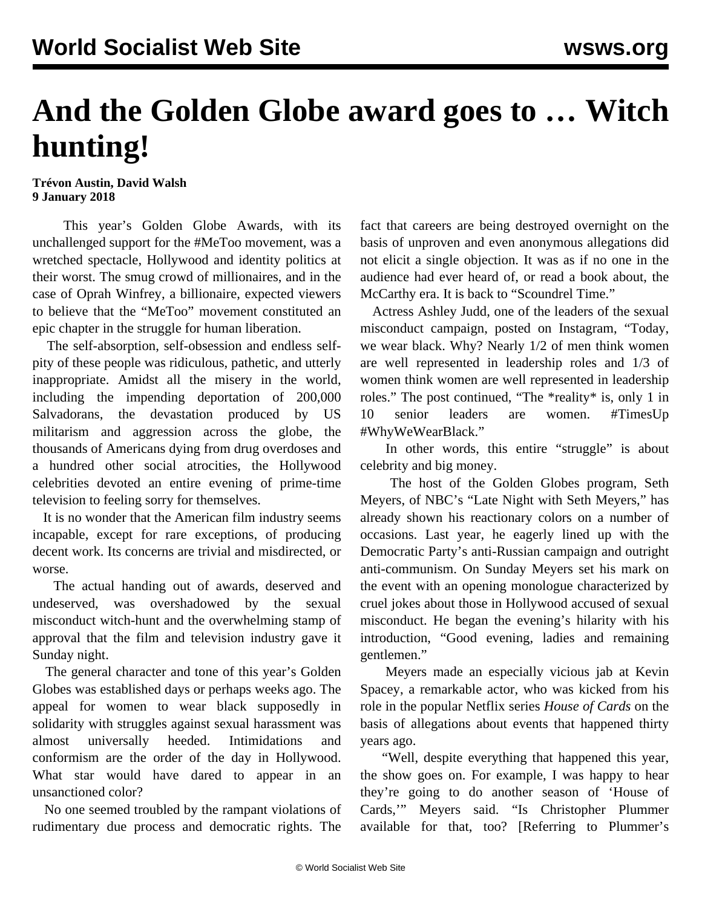## **And the Golden Globe award goes to … Witch hunting!**

## **Trévon Austin, David Walsh 9 January 2018**

 This year's Golden Globe Awards, with its unchallenged support for the #MeToo movement, was a wretched spectacle, Hollywood and identity politics at their worst. The smug crowd of millionaires, and in the case of Oprah Winfrey, a billionaire, expected viewers to believe that the "MeToo" movement constituted an epic chapter in the struggle for human liberation.

 The self-absorption, self-obsession and endless selfpity of these people was ridiculous, pathetic, and utterly inappropriate. Amidst all the misery in the world, including the impending deportation of 200,000 Salvadorans, the devastation produced by US militarism and aggression across the globe, the thousands of Americans dying from drug overdoses and a hundred other social atrocities, the Hollywood celebrities devoted an entire evening of prime-time television to feeling sorry for themselves.

 It is no wonder that the American film industry seems incapable, except for rare exceptions, of producing decent work. Its concerns are trivial and misdirected, or worse.

 The actual handing out of awards, deserved and undeserved, was overshadowed by the sexual misconduct witch-hunt and the overwhelming stamp of approval that the film and television industry gave it Sunday night.

 The general character and tone of this year's Golden Globes was established days or perhaps weeks ago. The appeal for women to wear black supposedly in solidarity with struggles against sexual harassment was almost universally heeded. Intimidations and conformism are the order of the day in Hollywood. What star would have dared to appear in an unsanctioned color?

 No one seemed troubled by the rampant violations of rudimentary due process and democratic rights. The

fact that careers are being destroyed overnight on the basis of unproven and even anonymous allegations did not elicit a single objection. It was as if no one in the audience had ever heard of, or read a book about, the McCarthy era. It is back to "Scoundrel Time."

 Actress Ashley Judd, one of the leaders of the sexual misconduct campaign, posted on Instagram, "Today, we wear black. Why? Nearly 1/2 of men think women are well represented in leadership roles and 1/3 of women think women are well represented in leadership roles." The post continued, "The \*reality\* is, only 1 in 10 senior leaders are women. #TimesUp #WhyWeWearBlack."

 In other words, this entire "struggle" is about celebrity and big money.

 The host of the Golden Globes program, Seth Meyers, of NBC's "Late Night with Seth Meyers," has already shown his reactionary colors on a number of occasions. Last year, he eagerly lined up with the Democratic Party's anti-Russian campaign and outright anti-communism. On Sunday Meyers set his mark on the event with an opening monologue characterized by cruel jokes about those in Hollywood accused of sexual misconduct. He began the evening's hilarity with his introduction, "Good evening, ladies and remaining gentlemen."

 Meyers made an especially vicious jab at Kevin Spacey, a remarkable actor, who was kicked from his role in the popular Netflix series *House of Cards* on the basis of allegations about events that happened thirty years ago.

 "Well, despite everything that happened this year, the show goes on. For example, I was happy to hear they're going to do another season of 'House of Cards,'" Meyers said. "Is Christopher Plummer available for that, too? [Referring to Plummer's